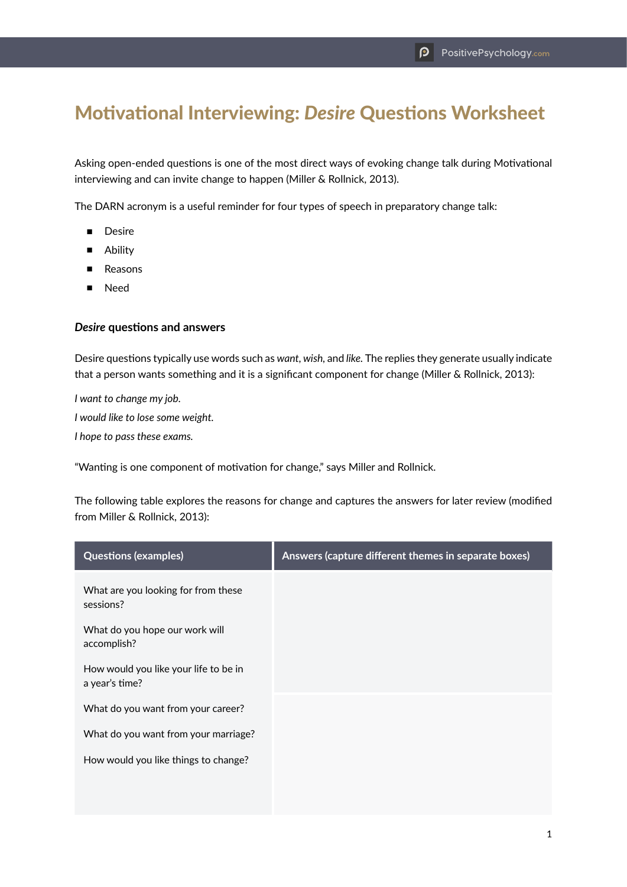## Motivational Interviewing: *Desire* Questions Worksheet

Asking open-ended questions is one of the most direct ways of evoking change talk during Motivational interviewing and can invite change to happen (Miller & Rollnick, 2013).

The DARN acronym is a useful reminder for four types of speech in preparatory change talk:

- Desire
- Ability
- Reasons
- **Need**

## *Desire* **questions and answers**

Desire questions typically use words such as *want, wish,* and *like.* The replies they generate usually indicate that a person wants something and it is a significant component for change (Miller & Rollnick, 2013):

*I want to change my job. I would like to lose some weight. I hope to pass these exams.*

"Wanting is one component of motivation for change," says Miller and Rollnick.

The following table explores the reasons for change and captures the answers for later review (modified from Miller & Rollnick, 2013):

| <b>Questions (examples)</b>                             | Answers (capture different themes in separate boxes) |
|---------------------------------------------------------|------------------------------------------------------|
| What are you looking for from these<br>sessions?        |                                                      |
| What do you hope our work will<br>accomplish?           |                                                      |
| How would you like your life to be in<br>a year's time? |                                                      |
| What do you want from your career?                      |                                                      |
| What do you want from your marriage?                    |                                                      |
| How would you like things to change?                    |                                                      |
|                                                         |                                                      |